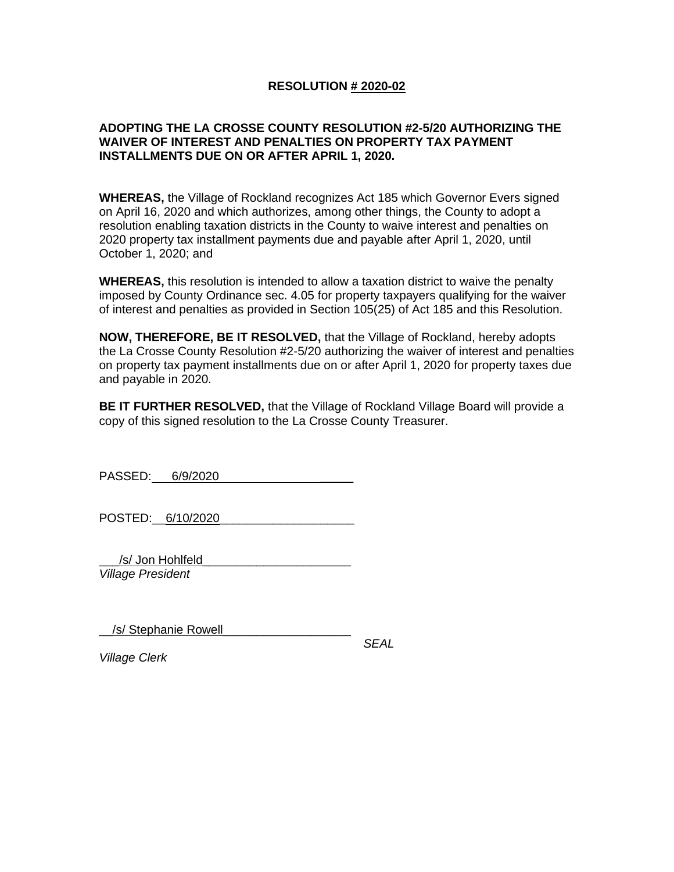## **RESOLUTION # 2020-02**

## **ADOPTING THE LA CROSSE COUNTY RESOLUTION #2-5/20 AUTHORIZING THE WAIVER OF INTEREST AND PENALTIES ON PROPERTY TAX PAYMENT INSTALLMENTS DUE ON OR AFTER APRIL 1, 2020.**

**WHEREAS,** the Village of Rockland recognizes Act 185 which Governor Evers signed on April 16, 2020 and which authorizes, among other things, the County to adopt a resolution enabling taxation districts in the County to waive interest and penalties on 2020 property tax installment payments due and payable after April 1, 2020, until October 1, 2020; and

**WHEREAS,** this resolution is intended to allow a taxation district to waive the penalty imposed by County Ordinance sec. 4.05 for property taxpayers qualifying for the waiver of interest and penalties as provided in Section 105(25) of Act 185 and this Resolution.

**NOW, THEREFORE, BE IT RESOLVED,** that the Village of Rockland, hereby adopts the La Crosse County Resolution #2-5/20 authorizing the waiver of interest and penalties on property tax payment installments due on or after April 1, 2020 for property taxes due and payable in 2020.

**BE IT FURTHER RESOLVED,** that the Village of Rockland Village Board will provide a copy of this signed resolution to the La Crosse County Treasurer.

PASSED: 6/9/2020 \_\_\_\_\_

POSTED: 6/10/2020

/s/ Jon Hohlfeld

*Village President* 

\_\_/s/ Stephanie Rowell\_\_\_\_\_\_\_\_\_\_\_\_\_\_\_\_\_\_\_

 *SEAL*

*Village Clerk*